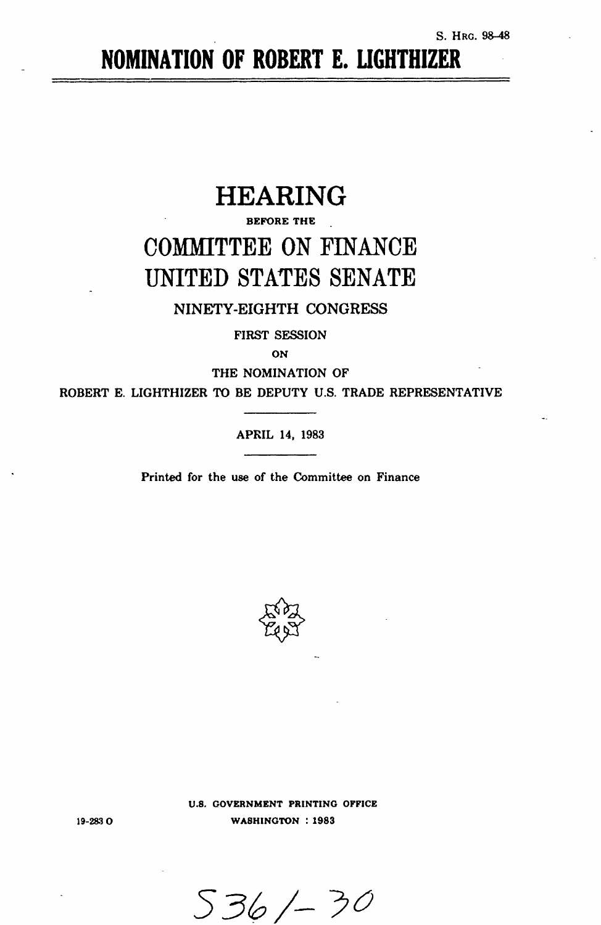# **NOMINATION** OF ROBERT **E.** LIGHTHIZER

# HEARING

# BEFORE THE COMMITTEE ON FINANCE UNITED STATES SENATE

## NINETY-EIGHTH CONGRESS

FIRST SESSION

**ON**

THE NOMINATION OF

ROBERT E. LIGHTHIZER TO BE DEPUTY U.S. TRADE REPRESENTATIVE

APRIL 14, 1983

Printed for the use of the Committee on Finance



**U.S. GOVERNMENT PRINTING OFFICE WASHINGTON : 1983**

19-2830

*539,/-* >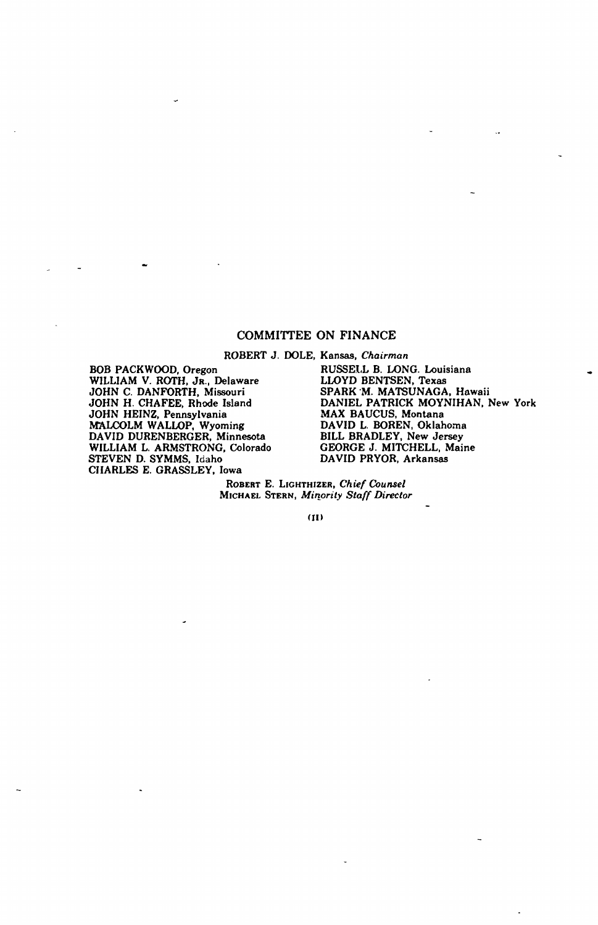### COMMITTEE ON FINANCE

ROBERT J. DOLE, Kansas, *Chairman*

BOB PACKWOOD, Oregon WILLIAM V. ROTH, JR., Delaware JOHN C. DANFORTH, Missouri JOHN H. CHAFEE, Rhode Island JOHN HEINZ, Pennsylvania MALCOLM WALLOP, Wyoming DAVID DURENBERGER, Minnesota WILLIAM L. ARMSTRONG, Colorado STEVEN D. SYMMS, Idaho CHARLES E. GRASSLEY, Iowa

RUSSELL B. LONG. Louisiana LLOYD BENTSEN, Texas SPARK \*M. MATSUNAGA, Hawaii DANIEL PATRICK MOYNIHAN. New York MAX BAUCUS, Montana DAVID L. BOREN, Oklahoma BILL BRADLEY, New Jersey GEORGE J. MITCHELL, Maine DAVID PRYOR, Arkansas

ROBERT E. LIGHTHIZER, *Chief Counsel* MICHAEL **STERN,** *Minority Staff Director*

(11)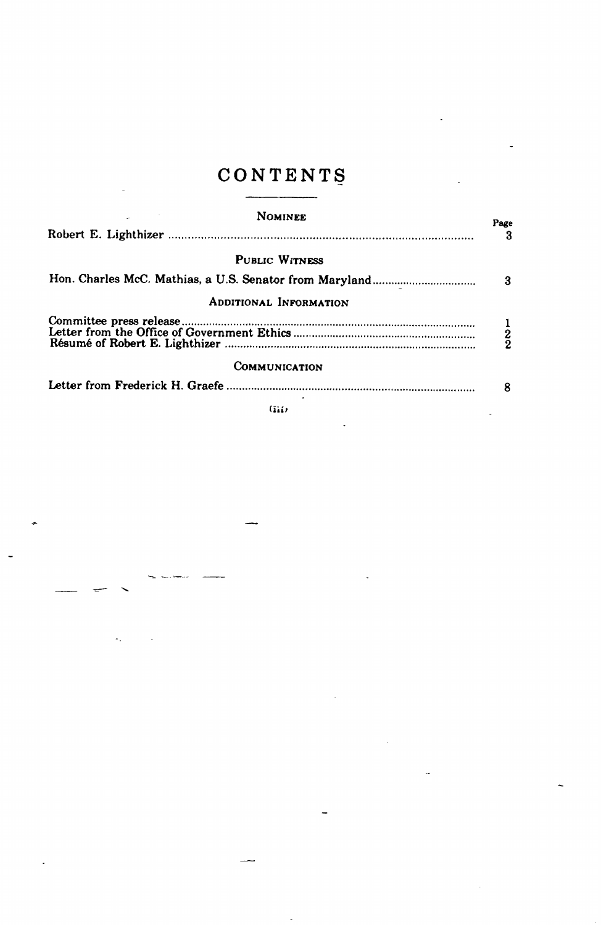# CONTENTS

| <b>NOMINEE</b>                | Page          |
|-------------------------------|---------------|
|                               |               |
| <b>PUBLIC WITNESS</b>         |               |
|                               | 3             |
| <b>ADDITIONAL INFORMATION</b> |               |
|                               | $\frac{1}{2}$ |
| COMMUNICATION                 |               |
|                               |               |

 $(iii)$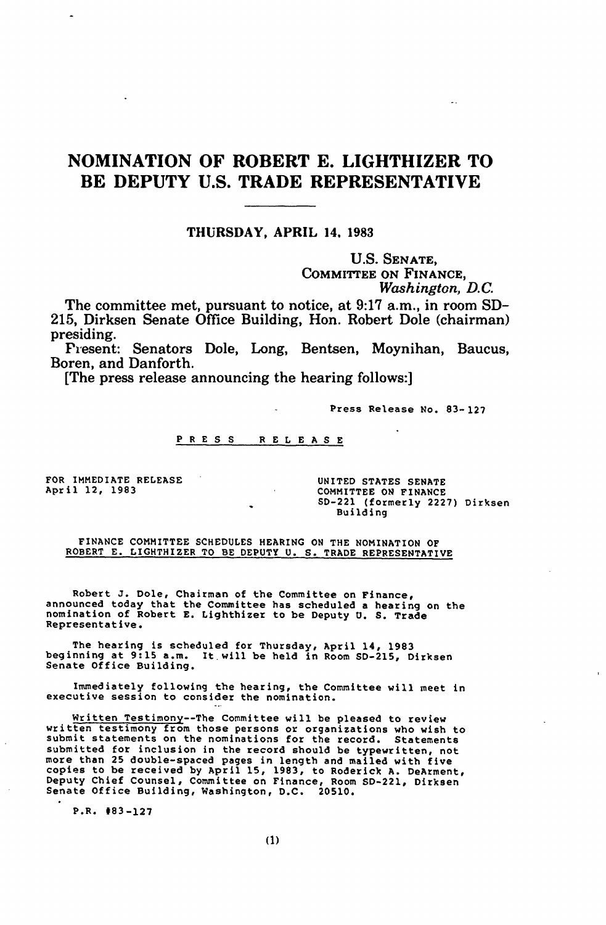## NOMINATION OF ROBERT E. LIGHTHIZER TO BE DEPUTY U.S. TRADE REPRESENTATIVE

### THURSDAY, APRIL 14. 1983

U.S. SENATE, COMMITTEE ON FINANCE, *Washington, D.C.*

The committee met, pursuant to notice, at 9:17 a.m., in room SD-215, Dirksen Senate Office Building, Hon. Robert Dole (chairman)

Present: Senators Dole, Long, Bentsen, Moynihan, Baucus, Boren, and Danforth.

[The press release announcing the hearing follows:]

Press Release No. 83-127

#### PRESS RELEASE

FOR IMMEDIATE RELEASE UNITED STATES SENATE<br>
April 12, 1983<br>
COMMITTEE ON FINANCE

COMMITTEE ON FINANCE SD-221 (formerly 2227) Dirksen Building

FINANCE COMMITTEE SCHEDULES HEARING ON THE NOMINATION OF ROBERT E. LIGHTHIZER TO BE DEPUTY U. S. TRADE REPRESENTATIVE

Robert J. Dole, Chairman of the Committee on Finance, announced today that the Committee has scheduled a hearing on the nomination of Robert E. Lighthizer to be Deputy U. S. Trade Representative.

The hearing is scheduled for Thursday, April 14, 1983 beginning at **9:15** a.m. It will be held in Room SD-215, Dirksen Senate Office Building.

Immediately following the hearing, the Committee will meet in executive session to consider the nomination.

Written Testimony--The Committee will be pleased to review written testimony from those persons or organizations who wish to<br>submit statements on the nominations for the record. Statements<br>submitted for inclusion in the record should be typewritten, not copies to be received by April 15, 1983, to Roderick A. DeArment,<br>Deputy Chief Counsel, Committee on Finance, Room SD-221, Dirksen<br>Senate Office Building, Washington, D.C. 20510.

P.R. #83-127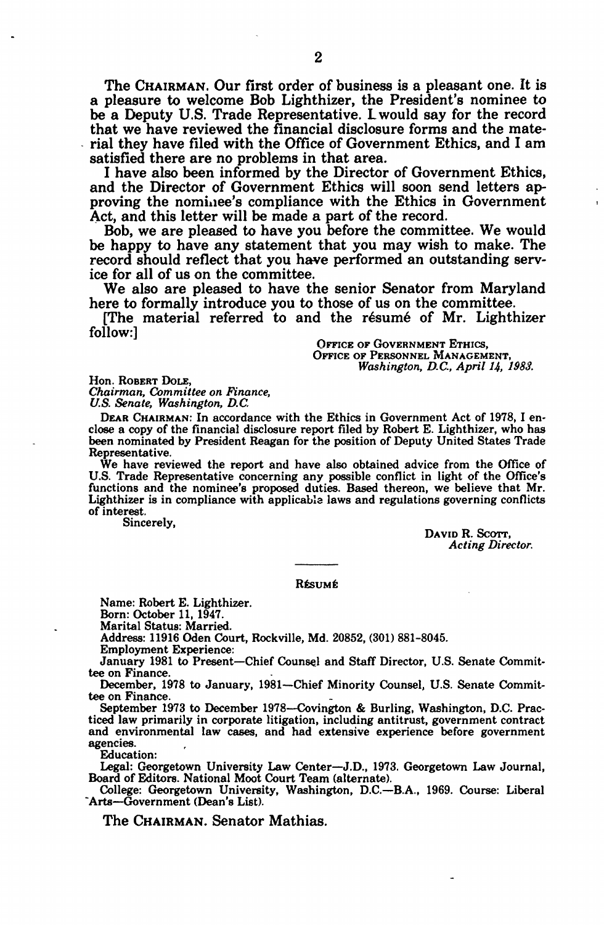The CHAIRMAN. Our first order of business is a pleasant one. It is a pleasure to welcome Bob Lighthizer, the President's nominee to be a Deputy U.S. Trade Representative. Lwould say for the record that we have reviewed the financial disclosure forms and the material they have filed with the Office of Government Ethics, and I am satisfied there are no problems in that area.

I have also been informed by the Director of Government Ethics, and the Director of Government Ethics will soon send letters approving the nomixiee's compliance with the Ethics in Government Act, and this letter will be made a part of the record.

Bob, we are pleased to have you before the committee. We would be happy to have any statement that you may wish to make. The record should reflect that you have performed an outstanding service for all of us on the committee.

We also are pleased to have the senior Senator from Maryland here to formally introduce you to those of us on the committee.

[The material referred to and the résumé of Mr. Lighthizer follow:]

**OFFICE OF GOVERNMENT ETHICS,** OFFICE OF PERSONNEL MANAGEMENT, *Washington, D.C., April 14, 1988.*

Hon. ROBERT **DOLE,** *Chairman, Committee on Finance, U.& Senate, Washington, D.C.*

DEAR CHAIRMAN: In accordance with the Ethics in Government Act of 1978, I en- close a copy of the financial disclosure report filed by Robert E. Lighthizer, who has been nominated by President Reagan for the position of Deputy United States Trade

We have reviewed the report and have also obtained advice from the Office of U.S. Trade Representative concerning any possible conflict in light of the Office's functions and the nominee's proposed duties. Based thereon, we believe that Mr. Lighthizer is in compliance with applicable laws and regulations governing conflicts of interest.<br>
Sincerely,<br>
David **R. Scott** 

*Acting Director.*

#### Résumé

Name: Robert E. Lighthizer.

Born: October 11, 1947.

Marital Status: Married.

Address: 11916 Oden Court, Rockville, Md. 20852, (301) 881-8045.

Employment Experience:

January 1981 to Present-Chief Counsel and Staff Director, U.S. Senate Committee on Finance.

December, 1978 to January, 1981-Chief Minority Counsel, U.S. Senate Committee on Finance.

September 1973 to December 1978--Covington **&** Burling, Washington, D.C. Practiced law primarily in corporate litigation, including antitrust, government contract and environmental law cases, and had extensive experience before government agencies.

Education:

Legal: Georgetown University Law Center-J.D., 1973. Georgetown Law Journal, Board of Editors. National Moot Court Team (alternate).

College: Georgetown University, Washington, D.C.-B.A., 1969. Course: Liberal "Arts--Government (Dean's List).

The CHAIRMAN. Senator Mathias.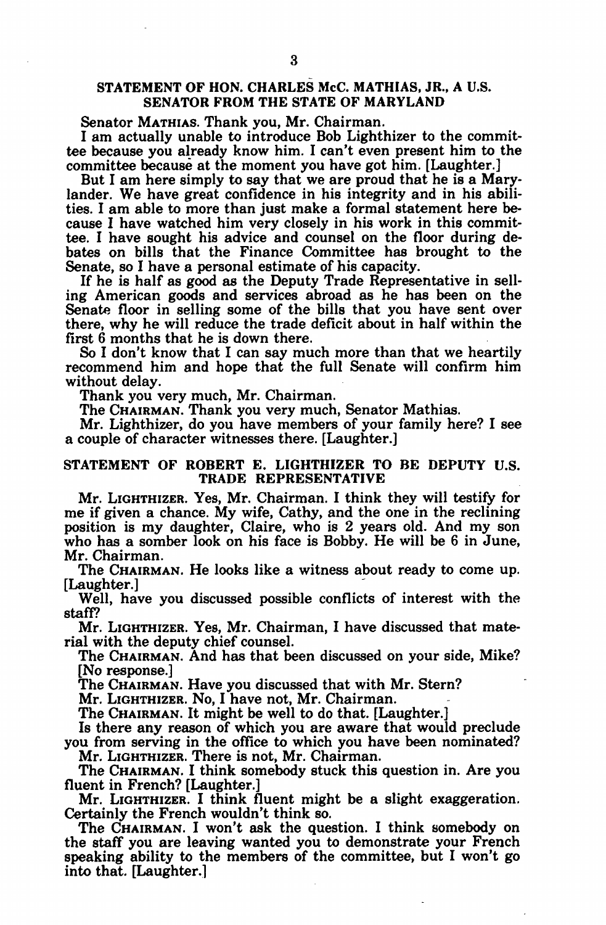### STATEMENT OF HON. CHARLES McC. MATHIAS, JR., A U.S. SENATOR FROM THE STATE OF MARYLAND

Senator MATHIAS. Thank you, Mr. Chairman.

I am actually unable to introduce Bob Lighthizer to the committee because you already know him. I can't even present him to the committee because at the moment you have got him. [Laughter.]

But I am here simply to say that we are proud that he is a Marylander. We have great confidence in his integrity and in his abilities. I am able to more than just make a formal statement here because I have watched him very closely in his work in this committee. I have sought his advice and counsel on the floor during debates on bills that the Finance Committee has brought to the Senate, so I have a personal estimate of his capacity.

If he is half as good as the Deputy Trade Representative in selling American goods and services abroad as he has been on the Senate floor in selling some of the bills that you have sent over there, why he will reduce the trade deficit about in half within the first 6 months that he is down there.

So I don't know that I can say much more than that we heartily recommend him and hope that the full Senate will confirm him without delay.

Thank you very much, Mr. Chairman.

The **CHAIRMAN.** Thank you very much, Senator Mathias.

Mr. Lighthizer, do you have members of your family here? I see a couple of character witnesses there. [Laughter.]

### STATEMENT OF ROBERT E. LIGHTHIZER TO BE DEPUTY U.S. TRADE REPRESENTATIVE

Mr. LIGHTHIZER. Yes, Mr. Chairman. I think they will testify for me if given a chance. My wife, Cathy, and the one in the reclining position is my daughter, Claire, who is 2 years old. And my son who has a somber look on his face is Bobby. He will be 6 in June, Mr. Chairman.

The CHAIRMAN. He looks like a witness about ready to come up. [Laughter.]

Well, have you discussed possible conflicts of interest with the staff?

Mr. LIGHTHIZER. Yes, Mr. Chairman, I have discussed that material with the deputy chief counsel.

The CHAIRMAN. And has that been discussed on your side, Mike? [No response.]

The CHAIRMAN. Have you discussed that with Mr. Stern?

Mr. LIGHTHIZER. No, I have not, Mr. Chairman.

The CHAIRMAN. It might be well to do that. [Laughter.]

Is there any reason of which you are aware that would preclude you from serving in the office to which you have been nominated? Mr. LIGHTHIZER. There is not, Mr. Chairman.

The CHAIRMAN. I think somebody stuck this question in. Are you fluent in French? [Laughter.]

Mr. LIGHTHIZER. I think fluent might be a slight exaggeration. Certainly the French wouldn't think so.

The CHAIRMAN. I won't ask the question. I think somebody on the staff you are leaving wanted you to demonstrate your French speaking ability to the members of the committee, but I won't go into that. [Laughter.]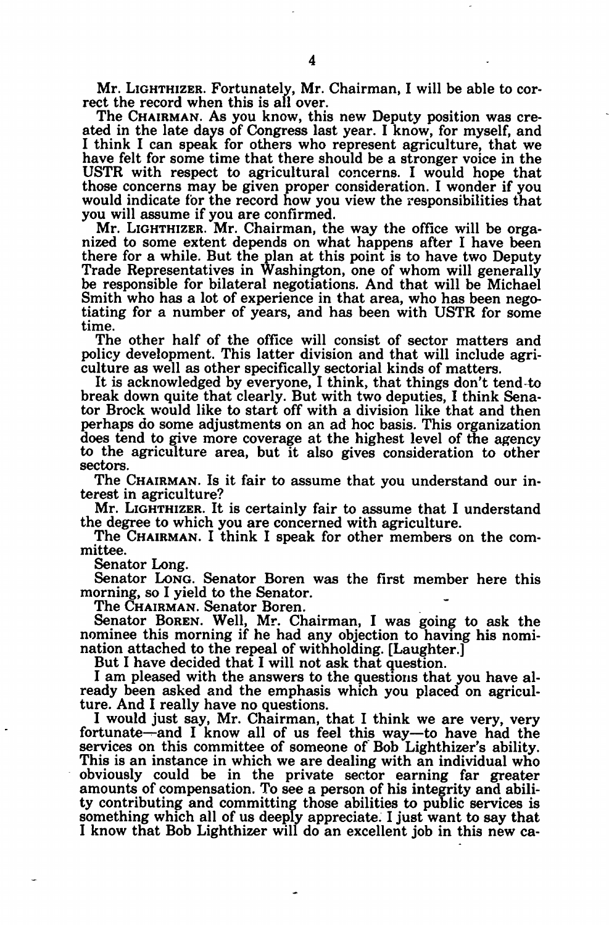Mr. LIGHTHIZER. Fortunately, Mr. Chairman, I will be able to correct the record when this is all over.

The CHAIRMAN. As you know, this new Deputy position was created in the late days of Congress last year. I know, for myself, and I think I can speak for others who represent agriculture, that we have felt for some time that there should be a stronger voice in the USTR with respect to agricultural concerns. I would hope that those concerns may be given proper consideration. I wonder if you would indicate for the record how you view the responsibilities that you will assume if you are confirmed.

Mr. LIGHTHIZER. Mr. Chairman, the way the office will be orga- nized to some extent depends on what happens after I have been there for a while. But the plan at this point is to have two Deputy Trade Representatives in Washington, one of whom will generally be responsible for bilateral negotiations. And that will be Michael Smith who has a lot of experience in that area, who has been nego- tiating for a number of years, and has been with USTR for some time.

The other half of the office will consist of sector matters and policy development. This latter division and that will include agri- culture as well as other specifically sectorial kinds of matters.

It is acknowledged by everyone, I think, that things don't tend-to break down quite that clearly. But with two deputies, I think Senator Brock would like to start off with a division like that and then perhaps do some adjustments on an ad hoc basis. This organization does tend to give more coverage at the highest level of the agency to the agriculture area, but it also gives consideration to other sectors.

The CHAIRMAN. Is it fair to assume that you understand our interest in agriculture?

Mr. LIGHTHIZER. It is certainly fair to assume that I understand the degree to which you are concerned with agriculture.

The CHAIRMAN. I think I speak for other members on the committee.

Senator Long.<br>Senator Long. Senator Boren was the first member here this morning, so I yield to the Senator.

The CHAIRMAN. Senator Boren.

Senator BOREN. Well, Mr. Chairman, I was going to ask the nominee this morning if he had any objection to having his nomination attached to the repeal of withholding. [Laughter.]

But I have decided that I will not ask that question.<br>I am pleased with the answers to the questions that you have already been asked and the emphasis which you placed on agricul-

ture. And I really have no questions. I would just say, Mr. Chairman, that I think we are very, very fortunate-and I know all of us feel this way-to have had the services on this committee of someone of Bob Lighthizer's ability. This is an instance in which we are dealing with an individual who obviously could be in the private sector earning far greater amounts of compensation. To see a person of his integrity and ability contributing and committing those abilities to public services is something which all of us deeply appreciate. I just want to say that I know that Bob Lighthizer will do an excellent job in this new ca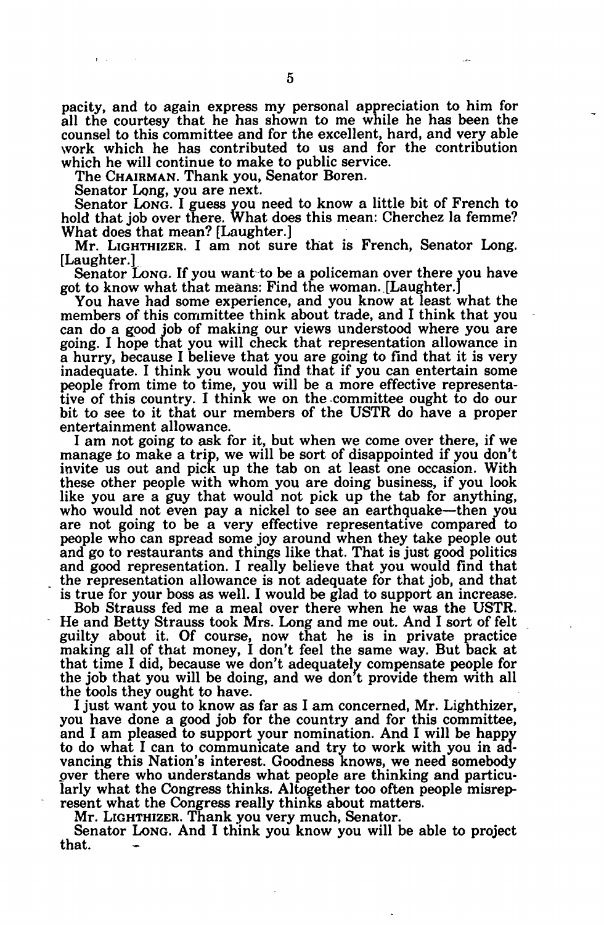pacity, and to again express my personal appreciation to him for all the courtesy that he has shown to me while he has been the counsel to this committee and for the excellent, hard, and very able work which he has contributed to us and for the contribution which he will continue to make to public service.

The CHAIRMAN. Thank you, Senator Boren.

Senator Long, you are next.

Senator LONG. I guess you need to know a little bit of French to hold that job over there. What does this mean: Cherchez la femme? What does that mean? [Laughter.]

Mr. LIGHTHIZER. I am not sure that is French, Senator Long. [Laughter.]

Senator **LONG.** If you want-to be a policeman over there you have got to know what that means: Find the woman. [Laughter.]

You have had some experience, and you know at least what the members of this committee think about trade, and I think that you can do a good job of making our views understood where you are going. I hope that you will check that representation allowance in a hurry, because I believe that you are going to find that it is very inadequate. I think you would find that if you can entertain some people from time to time, you will be a more effective representative of this country. I think we on the .committee ought to do our bit to see to it that our members of the USTR do have a proper entertainment allowance.

I am not going to ask for it, but when we come over there, if we manage to make a trip, we will be sort of disappointed if you don't invite us out and pick up the tab on at least one occasion. With these other people with whom you are doing business, if you look like you are a guy that would not pick up the tab for anything, who would not even pay a nickel to see an earthquake—then you are not going to be a very effective representative compared to people who can spread some joy around when they take people out and go to restaurants and things like that. That is just good politics and good representation. I really believe that you would find that the representation allowance is not adequate for that job, and that is true for your boss as well. I would be glad to support an increase.

Bob Strauss fed me a meal over there when he was the USTR. He and Betty Strauss took Mrs. Long and me out. And I sort of felt guilty about it. Of course, now that he is in private practice making all of that money, I don't feel the same way. But back at that time I did, because we don't adequately compensate people for the job that you will be doing, and we don t provide them with all the tools they ought to have.

I just want you to know as far as I am concerned, Mr. Lighthizer, you have done a good job for the country and for this committee, and I am pleased to support your nomination. And I will be happy to do what I can to communicate and try to work with you in advancing this Nation's interest. Goodness knows, we need somebody over there who understands what people are thinking and particularly what the Congress thinks. Altogether too often people misrepresent what the Congress really thinks about matters.

Mr. LIGHTHIZER. Thank you very much, Senator.

Senator LONG. And I think you know you will be able to project that.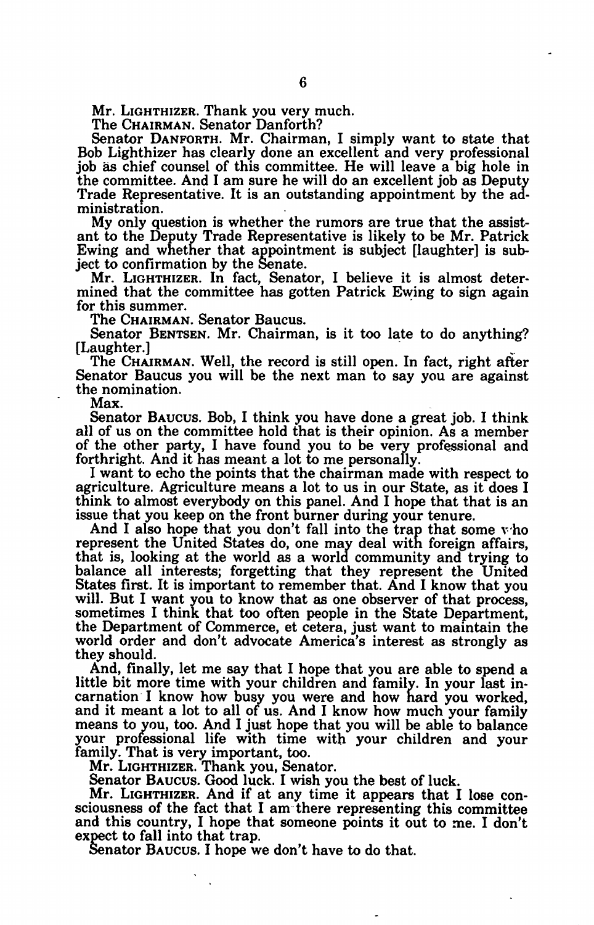Mr. LIGHTHIZER. Thank you very much.

The CHAIRMAN. Senator Danforth?

Senator DANFORTH. Mr. Chairman, I simply want to state that Bob Lighthizer has clearly done an excellent and very professional job as chief counsel of this committee. He will leave a big hole in the committee. And I am sure he will do an excellent job as Deputy Trade Representative. It is an outstanding appointment by the administration.

My only question is whether the rumors are true that the assistant to the Deputy Trade Representative is likely to be Mr. Patrick Ewing and whether that appointment is subject [laughter] is subject to confirmation **by** the Senate.

Mr. LIGHTHIZER. In fact, Senator, I believe it is almost determined that the committee has gotten Patrick Ewing to sign again for this summer.

The CHAIRMAN. Senator Baucus.

Senator BENTSEN. Mr. Chairman, is it too late to do anything?<br>[Laughter.]<br>The CHAIRMAN. Well, the record is still open. In fact, right after

Senator Baucus you will be the next man to say you are against the nomination.

Max.

Senator BAUCUS. Bob, I think you have done a great job. I think all of us on the committee hold that is their opinion. As a member of the other party, I have found you to be very professional and forthright. And it has meant a lot to me personally.

I want to echo the points that the chairman made with respect to agriculture. Agriculture means a lot to us in our State, as it does I think to almost everybody on this panel. And I hope that that is an issue that you keep on the front burner during your tenure.

And I also hope that you don't fall into the trap that some v'ho represent the United States do, one may deal with foreign affairs, that is, looking at the world as a world community and trying to balance all interests; forgetting that they represent the United States first. It is important to remember that. And I know that you<br>will. But I want you to know that as one observer of that process,<br>sometimes I think that too often people in the State Department,<br>the Department of Comm world order and don't advocate America's interest as strongly as they should.

And, finally, let me say that I hope that you are able to spend a little bit more time with your children and family. In your last in-<br>carnation I know how busy you were and how hard you worked, and it meant a lot to all of us. And I know how much your family means to you, too. And I just hope that you will be able to balance your professional life with time with your children and your family. That is very important, too.

Mr. LIGHTHIZER. Thank you, Senator.

Senator BAUcus. Good luck. I wish you the best of luck.

Mr. LIGHTHIZER. And if at any time it appears that I lose consciousness of the fact that I am there representing this committee and this country, I hope that someone points it out to me. I don't expect to fall into that trap. Senator BAUCUS. I hope we don't have to do that.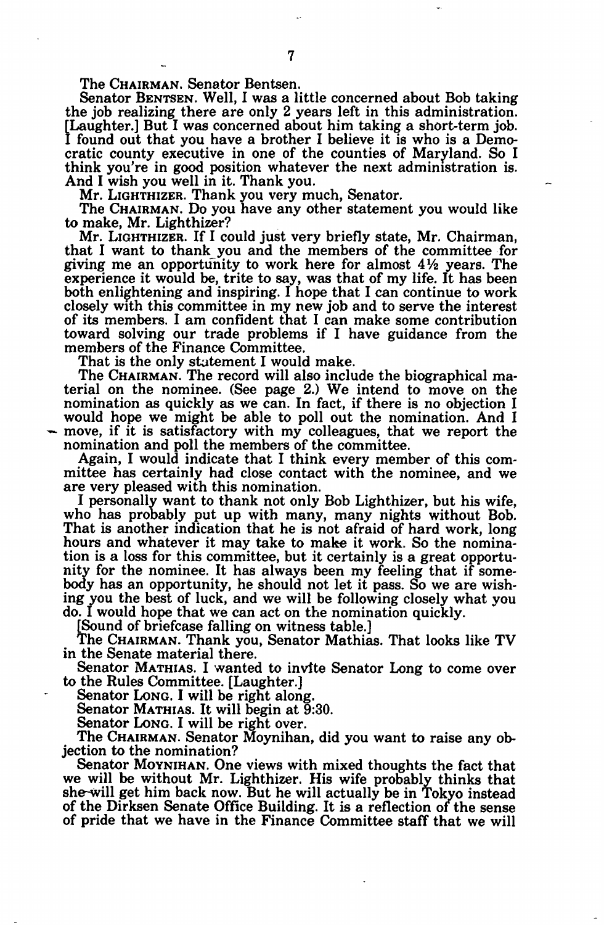The CHAIRMAN. Senator Bentsen.<br>Senator Bentsen. Well, I was a little concerned about Bob taking the job realizing there are only 2 years left in this administration. [Laughter.] But I was concerned about him taking a short-term job.<br>I found out that you have a brother I believe it is who is a Democratic county executive in one of the counties of Maryland. So I think you're in good position whatever the next administration is. And I wish you well in it. Thank you.

Mr. LIGHTHIZER. Thank you very much, Senator.

The CHAIRMAN. Do you have any other statement you would like to make, Mr. Lighthizer?

Mr. LIGHTHIZER. If I could just very briefly state, Mr. Chairman, that I want to thank you and the members of the committee for giving me an opportunity to work here for almost **41/2** years. The experience it would be, trite to say, was that of my life. It has been both enlightening and inspiring. I hope that I can continue to work closely with this committee in my new job and to serve the interest of its members. I am confident that I can make some contribution toward solving our trade problems if I have guidance from the members of the Finance Committee.

That is the only statement I would make.

The CHAIRMAN. The record will also include the biographical material on the nominee. (See page 2.) We intend to move on the nomination as quickly as we can. In fact, if there is no objection I would hope we might be able to poll out the nomination. And I move, if it is satisfactory with my colleagues, that we report the nomination and poll the members of the committee.

Again, I would indicate that I think every member of this committee has certainly had close contact with the nominee, and we are very pleased with this nomination.

I personally want to thank not only Bob Lighthizer, but his wife, who has probably put up with many, many nights without Bob. That is another indication that he is not afraid of hard work, long hours and whatever it may take to make it work. So the nomination is a loss for this committee, but it certainly is a great opportunity for the nominee. It has always been my feeling that if somebody has an opportunity, he should not let it pass. So we are wishing you the best of luck, and we will be following closely what you do. I would hope that we can act on the nomination quickly.

[Sound of briefcase falling on witness table.] The CHAIRMAN. Thank you, Senator Mathias. That looks like TV in the Senate material there.

Senator MATHIAS. I wanted to invite Senator Long to come over to the Rules Committee. [Laughter.]

Senator Long. I will be right along.

Senator **MATHIAS.** It will begin at 9:30.

Senator **LONG.** I will be right over.

The CHAIRMAN. Senator Moynihan, did you want to raise any objection to the nomination?

Senator **MOYNIHAN.** One views with mixed thoughts the fact that we will be without Mr. Lighthizer. His wife probably thinks that she-will get him back now. But he will actually be in Tokyo instead of the Dirksen Senate Office Building. It is a reflection of the sense of pride that we have in the Finance Committee staff that we will